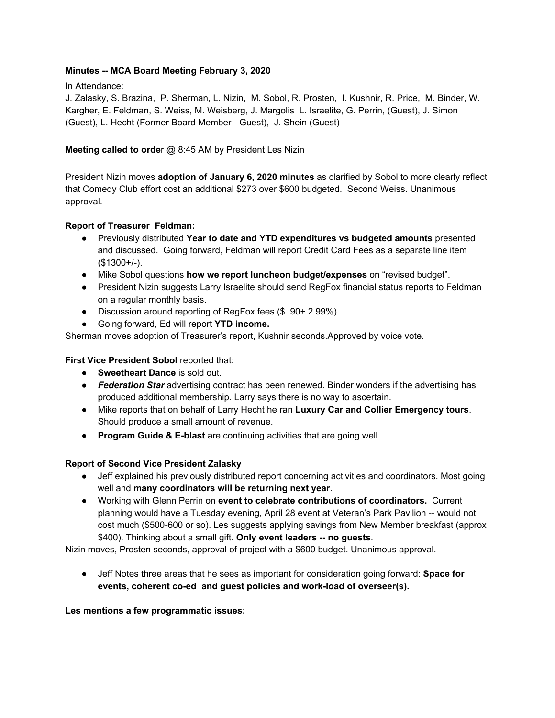### **Minutes -- MCA Board Meeting February 3, 2020**

In Attendance:

J. Zalasky, S. Brazina, P. Sherman, L. Nizin, M. Sobol, R. Prosten, I. Kushnir, R. Price, M. Binder, W. Kargher, E. Feldman, S. Weiss, M. Weisberg, J. Margolis L. Israelite, G. Perrin, (Guest), J. Simon (Guest), L. Hecht (Former Board Member - Guest), J. Shein (Guest)

# **Meeting called to orde**r @ 8:45 AM by President Les Nizin

President Nizin moves **adoption of January 6, 2020 minutes** as clarified by Sobol to more clearly reflect that Comedy Club effort cost an additional \$273 over \$600 budgeted. Second Weiss. Unanimous approval.

### **Report of Treasurer Feldman:**

- Previously distributed **Year to date and YTD expenditures vs budgeted amounts** presented and discussed. Going forward, Feldman will report Credit Card Fees as a separate line item (\$1300+/-).
- Mike Sobol questions **how we report luncheon budget/expenses** on "revised budget".
- President Nizin suggests Larry Israelite should send RegFox financial status reports to Feldman on a regular monthly basis.
- Discussion around reporting of RegFox fees (\$ .90+ 2.99%)..
- Going forward, Ed will report **YTD income.**

Sherman moves adoption of Treasurer's report, Kushnir seconds.Approved by voice vote.

# **First Vice President Sobol** reported that:

- **Sweetheart Dance** is sold out.
- *Federation Star* advertising contract has been renewed. Binder wonders if the advertising has produced additional membership. Larry says there is no way to ascertain.
- Mike reports that on behalf of Larry Hecht he ran **Luxury Car and Collier Emergency tours**. Should produce a small amount of revenue.
- **Program Guide & E-blast** are continuing activities that are going well

# **Report of Second Vice President Zalasky**

- Jeff explained his previously distributed report concerning activities and coordinators. Most going well and **many coordinators will be returning next year**.
- Working with Glenn Perrin on **event to celebrate contributions of coordinators.** Current planning would have a Tuesday evening, April 28 event at Veteran's Park Pavilion -- would not cost much (\$500-600 or so). Les suggests applying savings from New Member breakfast (approx \$400). Thinking about a small gift. **Only event leaders -- no guests**.

Nizin moves, Prosten seconds, approval of project with a \$600 budget. Unanimous approval.

● Jeff Notes three areas that he sees as important for consideration going forward: **Space for events, coherent co-ed and guest policies and work-load of overseer(s).**

### **Les mentions a few programmatic issues:**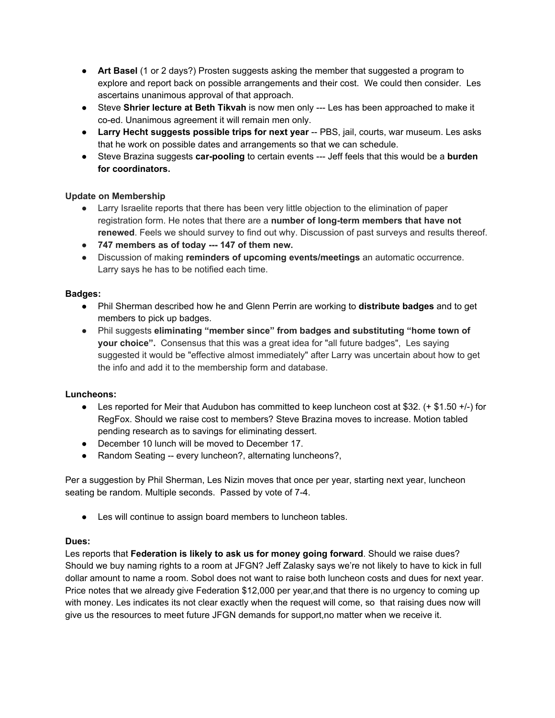- **Art Basel** (1 or 2 days?) Prosten suggests asking the member that suggested a program to explore and report back on possible arrangements and their cost. We could then consider. Les ascertains unanimous approval of that approach.
- Steve **Shrier lecture at Beth Tikvah** is now men only --- Les has been approached to make it co-ed. Unanimous agreement it will remain men only.
- **Larry Hecht suggests possible trips for next year** -- PBS, jail, courts, war museum. Les asks that he work on possible dates and arrangements so that we can schedule.
- Steve Brazina suggests **car-pooling** to certain events --- Jeff feels that this would be a **burden for coordinators.**

### **Update on Membership**

- Larry Israelite reports that there has been very little objection to the elimination of paper registration form. He notes that there are a **number of long-term members that have not renewed**. Feels we should survey to find out why. Discussion of past surveys and results thereof.
- **● 747 members as of today --- 147 of them new.**
- Discussion of making **reminders of upcoming events/meetings** an automatic occurrence. Larry says he has to be notified each time.

# **Badges:**

- Phil Sherman described how he and Glenn Perrin are working to **distribute badges** and to get members to pick up badges.
- Phil suggests **eliminating "member since" from badges and substituting "home town of your choice".** Consensus that this was a great idea for "all future badges", Les saying suggested it would be "effective almost immediately" after Larry was uncertain about how to get the info and add it to the membership form and database.

# **Luncheons:**

- Les reported for Meir that Audubon has committed to keep luncheon cost at \$32. (+ \$1.50 +/-) for RegFox. Should we raise cost to members? Steve Brazina moves to increase. Motion tabled pending research as to savings for eliminating dessert.
- December 10 lunch will be moved to December 17.
- Random Seating -- every luncheon?, alternating luncheons?,

Per a suggestion by Phil Sherman, Les Nizin moves that once per year, starting next year, luncheon seating be random. Multiple seconds. Passed by vote of 7-4.

● Les will continue to assign board members to luncheon tables.

### **Dues:**

Les reports that **Federation is likely to ask us for money going forward**. Should we raise dues? Should we buy naming rights to a room at JFGN? Jeff Zalasky says we're not likely to have to kick in full dollar amount to name a room. Sobol does not want to raise both luncheon costs and dues for next year. Price notes that we already give Federation \$12,000 per year,and that there is no urgency to coming up with money. Les indicates its not clear exactly when the request will come, so that raising dues now will give us the resources to meet future JFGN demands for support,no matter when we receive it.